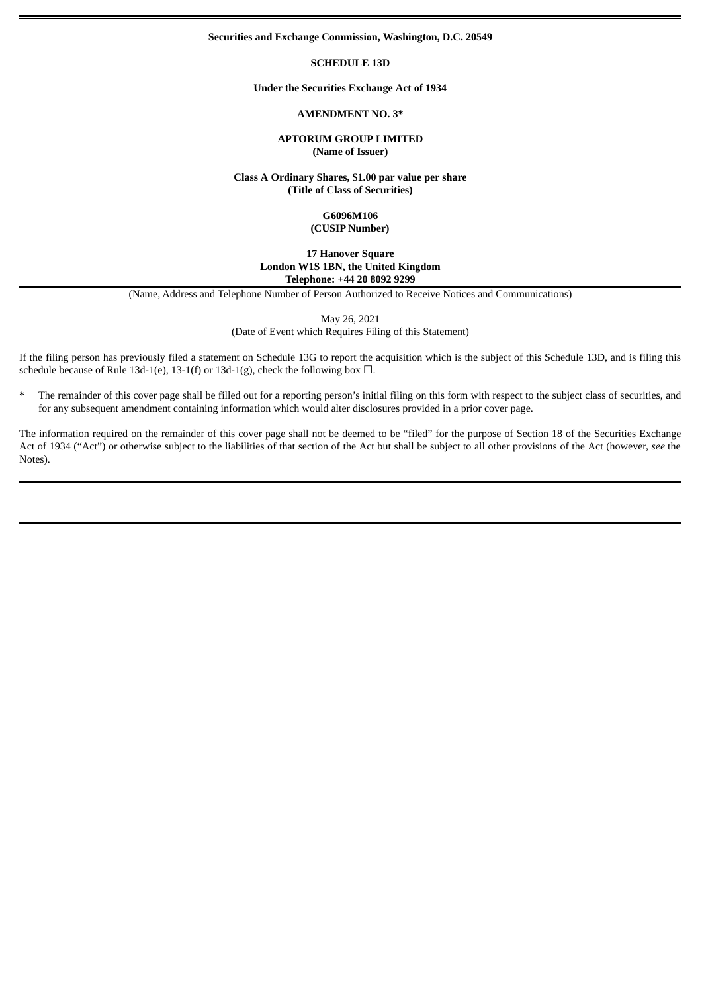#### **Securities and Exchange Commission, Washington, D.C. 20549**

#### **SCHEDULE 13D**

#### **Under the Securities Exchange Act of 1934**

### **AMENDMENT NO. 3\***

### **APTORUM GROUP LIMITED (Name of Issuer)**

**Class A Ordinary Shares, \$1.00 par value per share (Title of Class of Securities)**

#### **G6096M106 (CUSIP Number)**

## **17 Hanover Square London W1S 1BN, the United Kingdom Telephone: +44 20 8092 9299**

(Name, Address and Telephone Number of Person Authorized to Receive Notices and Communications)

May 26, 2021

(Date of Event which Requires Filing of this Statement)

If the filing person has previously filed a statement on Schedule 13G to report the acquisition which is the subject of this Schedule 13D, and is filing this schedule because of Rule 13d-1(e), 13-1(f) or 13d-1(g), check the following box  $\Box$ .

\* The remainder of this cover page shall be filled out for a reporting person's initial filing on this form with respect to the subject class of securities, and for any subsequent amendment containing information which would alter disclosures provided in a prior cover page.

The information required on the remainder of this cover page shall not be deemed to be "filed" for the purpose of Section 18 of the Securities Exchange Act of 1934 ("Act") or otherwise subject to the liabilities of that section of the Act but shall be subject to all other provisions of the Act (however, *see* the Notes).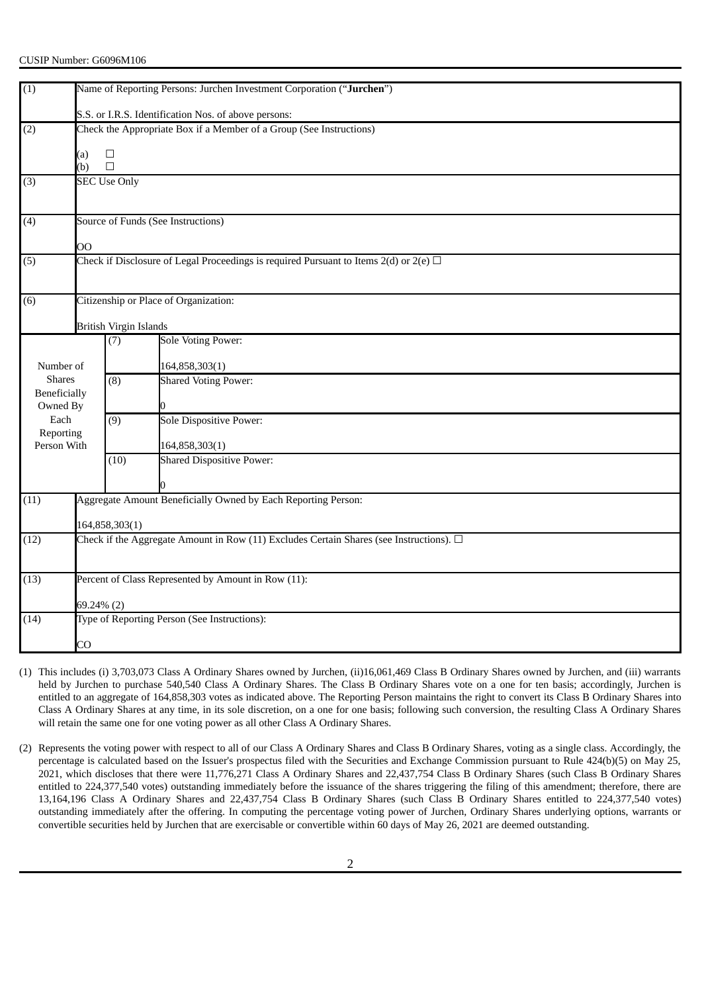| $\overline{1}$           | Name of Reporting Persons: Jurchen Investment Corporation ("Jurchen")                          |                                       |                                  |  |  |  |
|--------------------------|------------------------------------------------------------------------------------------------|---------------------------------------|----------------------------------|--|--|--|
|                          | S.S. or I.R.S. Identification Nos. of above persons:                                           |                                       |                                  |  |  |  |
| (2)                      | Check the Appropriate Box if a Member of a Group (See Instructions)                            |                                       |                                  |  |  |  |
|                          | (a)                                                                                            | $\Box$                                |                                  |  |  |  |
|                          | (b)                                                                                            | $\Box$                                |                                  |  |  |  |
| (3)                      | <b>SEC Use Only</b>                                                                            |                                       |                                  |  |  |  |
|                          |                                                                                                |                                       |                                  |  |  |  |
| (4)                      | Source of Funds (See Instructions)                                                             |                                       |                                  |  |  |  |
|                          | OO                                                                                             |                                       |                                  |  |  |  |
| (5)                      | Check if Disclosure of Legal Proceedings is required Pursuant to Items $2(d)$ or $2(e)$ $\Box$ |                                       |                                  |  |  |  |
|                          |                                                                                                |                                       |                                  |  |  |  |
| (6)                      |                                                                                                | Citizenship or Place of Organization: |                                  |  |  |  |
|                          |                                                                                                |                                       |                                  |  |  |  |
|                          |                                                                                                | <b>British Virgin Islands</b>         |                                  |  |  |  |
|                          |                                                                                                | (7)                                   | <b>Sole Voting Power:</b>        |  |  |  |
| Number of                |                                                                                                |                                       | 164,858,303(1)                   |  |  |  |
| <b>Shares</b>            |                                                                                                | (8)                                   | <b>Shared Voting Power:</b>      |  |  |  |
| <b>Beneficially</b>      |                                                                                                |                                       |                                  |  |  |  |
| Owned By                 |                                                                                                |                                       |                                  |  |  |  |
| Each                     |                                                                                                | $\overline{(9)}$                      | <b>Sole Dispositive Power:</b>   |  |  |  |
| Reporting<br>Person With |                                                                                                |                                       | 164,858,303(1)                   |  |  |  |
|                          |                                                                                                | (10)                                  | <b>Shared Dispositive Power:</b> |  |  |  |
|                          |                                                                                                |                                       |                                  |  |  |  |
|                          |                                                                                                |                                       |                                  |  |  |  |
| (11)                     | Aggregate Amount Beneficially Owned by Each Reporting Person:                                  |                                       |                                  |  |  |  |
|                          | 164,858,303(1)                                                                                 |                                       |                                  |  |  |  |
| (12)                     | Check if the Aggregate Amount in Row (11) Excludes Certain Shares (see Instructions). $\Box$   |                                       |                                  |  |  |  |
|                          |                                                                                                |                                       |                                  |  |  |  |
| (13)                     | Percent of Class Represented by Amount in Row (11):                                            |                                       |                                  |  |  |  |
|                          | 69.24% (2)                                                                                     |                                       |                                  |  |  |  |
| (14)                     | Type of Reporting Person (See Instructions):                                                   |                                       |                                  |  |  |  |
|                          | CO                                                                                             |                                       |                                  |  |  |  |

- (1) This includes (i) 3,703,073 Class A Ordinary Shares owned by Jurchen, (ii)16,061,469 Class B Ordinary Shares owned by Jurchen, and (iii) warrants held by Jurchen to purchase 540,540 Class A Ordinary Shares. The Class B Ordinary Shares vote on a one for ten basis; accordingly, Jurchen is entitled to an aggregate of 164,858,303 votes as indicated above. The Reporting Person maintains the right to convert its Class B Ordinary Shares into Class A Ordinary Shares at any time, in its sole discretion, on a one for one basis; following such conversion, the resulting Class A Ordinary Shares will retain the same one for one voting power as all other Class A Ordinary Shares.
- (2) Represents the voting power with respect to all of our Class A Ordinary Shares and Class B Ordinary Shares, voting as a single class. Accordingly, the percentage is calculated based on the Issuer's prospectus filed with the Securities and Exchange Commission pursuant to Rule 424(b)(5) on May 25, 2021, which discloses that there were 11,776,271 Class A Ordinary Shares and 22,437,754 Class B Ordinary Shares (such Class B Ordinary Shares entitled to 224,377,540 votes) outstanding immediately before the issuance of the shares triggering the filing of this amendment; therefore, there are 13,164,196 Class A Ordinary Shares and 22,437,754 Class B Ordinary Shares (such Class B Ordinary Shares entitled to 224,377,540 votes) outstanding immediately after the offering. In computing the percentage voting power of Jurchen, Ordinary Shares underlying options, warrants or convertible securities held by Jurchen that are exercisable or convertible within 60 days of May 26, 2021 are deemed outstanding.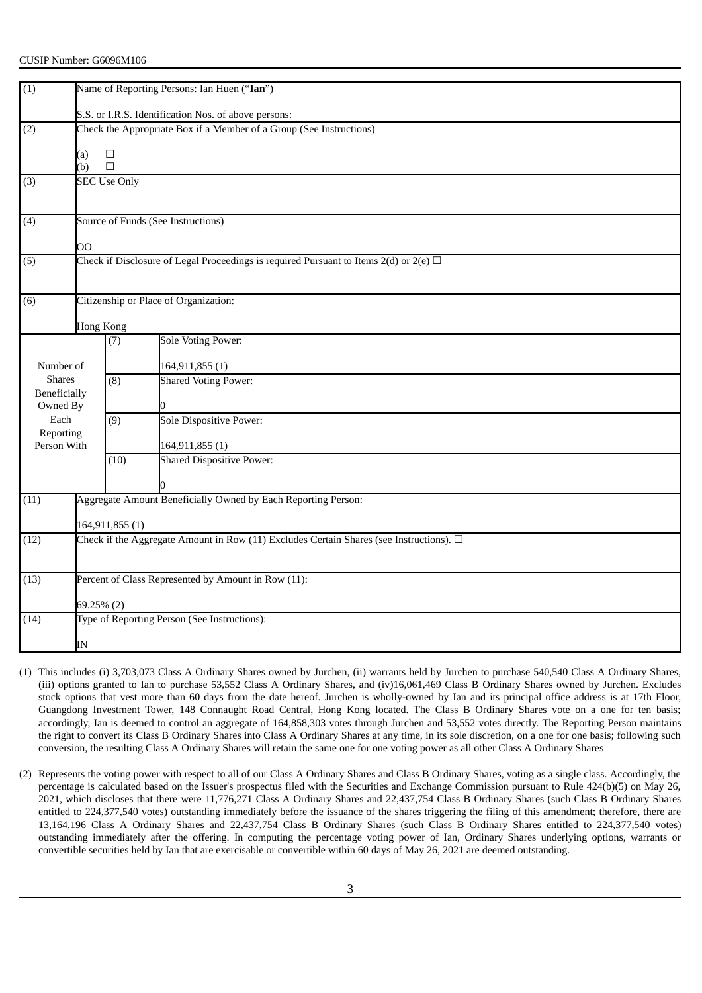| (1)                        |                                                                                                |                                                      |                                                                                              |  |  |  |  |
|----------------------------|------------------------------------------------------------------------------------------------|------------------------------------------------------|----------------------------------------------------------------------------------------------|--|--|--|--|
|                            |                                                                                                | Name of Reporting Persons: Ian Huen ("Ian")          |                                                                                              |  |  |  |  |
|                            |                                                                                                | S.S. or I.R.S. Identification Nos. of above persons: |                                                                                              |  |  |  |  |
| (2)                        | Check the Appropriate Box if a Member of a Group (See Instructions)                            |                                                      |                                                                                              |  |  |  |  |
|                            | (a)                                                                                            | $\Box$                                               |                                                                                              |  |  |  |  |
|                            | (b)                                                                                            | $\Box$                                               |                                                                                              |  |  |  |  |
| (3)                        |                                                                                                | <b>SEC Use Only</b>                                  |                                                                                              |  |  |  |  |
|                            |                                                                                                |                                                      |                                                                                              |  |  |  |  |
| (4)                        | Source of Funds (See Instructions)                                                             |                                                      |                                                                                              |  |  |  |  |
|                            |                                                                                                |                                                      |                                                                                              |  |  |  |  |
|                            | OO                                                                                             |                                                      |                                                                                              |  |  |  |  |
| (5)                        | Check if Disclosure of Legal Proceedings is required Pursuant to Items $2(d)$ or $2(e)$ $\Box$ |                                                      |                                                                                              |  |  |  |  |
|                            |                                                                                                |                                                      |                                                                                              |  |  |  |  |
| (6)                        |                                                                                                | Citizenship or Place of Organization:                |                                                                                              |  |  |  |  |
|                            | <b>Hong Kong</b>                                                                               |                                                      |                                                                                              |  |  |  |  |
|                            |                                                                                                | (7)                                                  | <b>Sole Voting Power:</b>                                                                    |  |  |  |  |
|                            |                                                                                                |                                                      |                                                                                              |  |  |  |  |
| Number of<br><b>Shares</b> |                                                                                                | $\overline{(8)}$                                     | 164,911,855(1)<br><b>Shared Voting Power:</b>                                                |  |  |  |  |
| Beneficially               |                                                                                                |                                                      |                                                                                              |  |  |  |  |
| Owned By                   |                                                                                                |                                                      |                                                                                              |  |  |  |  |
| Each                       |                                                                                                | (9)                                                  | <b>Sole Dispositive Power:</b>                                                               |  |  |  |  |
| Reporting<br>Person With   |                                                                                                |                                                      | 164,911,855 (1)                                                                              |  |  |  |  |
|                            |                                                                                                | (10)                                                 | <b>Shared Dispositive Power:</b>                                                             |  |  |  |  |
|                            |                                                                                                |                                                      |                                                                                              |  |  |  |  |
| (11)                       | Aggregate Amount Beneficially Owned by Each Reporting Person:                                  |                                                      |                                                                                              |  |  |  |  |
|                            |                                                                                                |                                                      |                                                                                              |  |  |  |  |
|                            | 164,911,855 (1)                                                                                |                                                      |                                                                                              |  |  |  |  |
| (12)                       |                                                                                                |                                                      | Check if the Aggregate Amount in Row (11) Excludes Certain Shares (see Instructions). $\Box$ |  |  |  |  |
|                            |                                                                                                |                                                      |                                                                                              |  |  |  |  |
| (13)                       | Percent of Class Represented by Amount in Row (11):                                            |                                                      |                                                                                              |  |  |  |  |
|                            | 69.25% (2)                                                                                     |                                                      |                                                                                              |  |  |  |  |
| (14)                       | Type of Reporting Person (See Instructions):                                                   |                                                      |                                                                                              |  |  |  |  |
|                            |                                                                                                |                                                      |                                                                                              |  |  |  |  |
|                            | IN                                                                                             |                                                      |                                                                                              |  |  |  |  |

- (1) This includes (i) 3,703,073 Class A Ordinary Shares owned by Jurchen, (ii) warrants held by Jurchen to purchase 540,540 Class A Ordinary Shares, (iii) options granted to Ian to purchase 53,552 Class A Ordinary Shares, and (iv)16,061,469 Class B Ordinary Shares owned by Jurchen. Excludes stock options that vest more than 60 days from the date hereof. Jurchen is wholly-owned by Ian and its principal office address is at 17th Floor, Guangdong Investment Tower, 148 Connaught Road Central, Hong Kong located. The Class B Ordinary Shares vote on a one for ten basis; accordingly, Ian is deemed to control an aggregate of 164,858,303 votes through Jurchen and 53,552 votes directly. The Reporting Person maintains the right to convert its Class B Ordinary Shares into Class A Ordinary Shares at any time, in its sole discretion, on a one for one basis; following such conversion, the resulting Class A Ordinary Shares will retain the same one for one voting power as all other Class A Ordinary Shares
- (2) Represents the voting power with respect to all of our Class A Ordinary Shares and Class B Ordinary Shares, voting as a single class. Accordingly, the percentage is calculated based on the Issuer's prospectus filed with the Securities and Exchange Commission pursuant to Rule 424(b)(5) on May 26, 2021, which discloses that there were 11,776,271 Class A Ordinary Shares and 22,437,754 Class B Ordinary Shares (such Class B Ordinary Shares entitled to 224,377,540 votes) outstanding immediately before the issuance of the shares triggering the filing of this amendment; therefore, there are 13,164,196 Class A Ordinary Shares and 22,437,754 Class B Ordinary Shares (such Class B Ordinary Shares entitled to 224,377,540 votes) outstanding immediately after the offering. In computing the percentage voting power of Ian, Ordinary Shares underlying options, warrants or convertible securities held by Ian that are exercisable or convertible within 60 days of May 26, 2021 are deemed outstanding.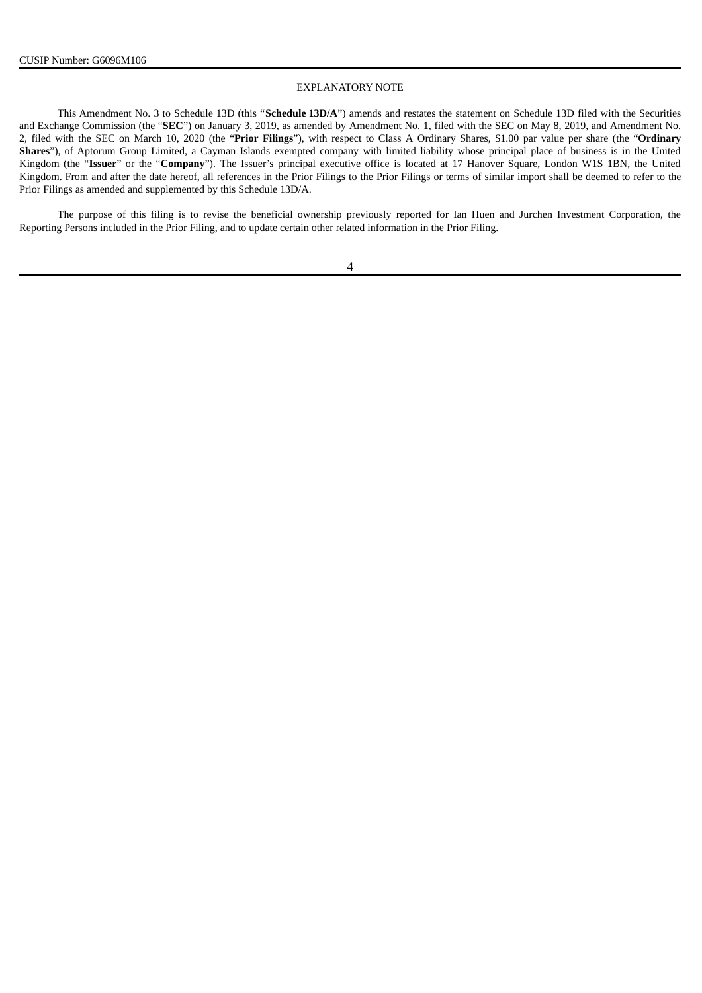### EXPLANATORY NOTE

This Amendment No. 3 to Schedule 13D (this "**Schedule 13D/A**") amends and restates the statement on Schedule 13D filed with the Securities and Exchange Commission (the "**SEC**") on January 3, 2019, as amended by Amendment No. 1, filed with the SEC on May 8, 2019, and Amendment No. 2, filed with the SEC on March 10, 2020 (the "**Prior Filings**"), with respect to Class A Ordinary Shares, \$1.00 par value per share (the "**Ordinary Shares**"), of Aptorum Group Limited, a Cayman Islands exempted company with limited liability whose principal place of business is in the United Kingdom (the "**Issuer**" or the "**Company**"). The Issuer's principal executive office is located at 17 Hanover Square, London W1S 1BN, the United Kingdom. From and after the date hereof, all references in the Prior Filings to the Prior Filings or terms of similar import shall be deemed to refer to the Prior Filings as amended and supplemented by this Schedule 13D/A.

The purpose of this filing is to revise the beneficial ownership previously reported for Ian Huen and Jurchen Investment Corporation, the Reporting Persons included in the Prior Filing, and to update certain other related information in the Prior Filing.

### 4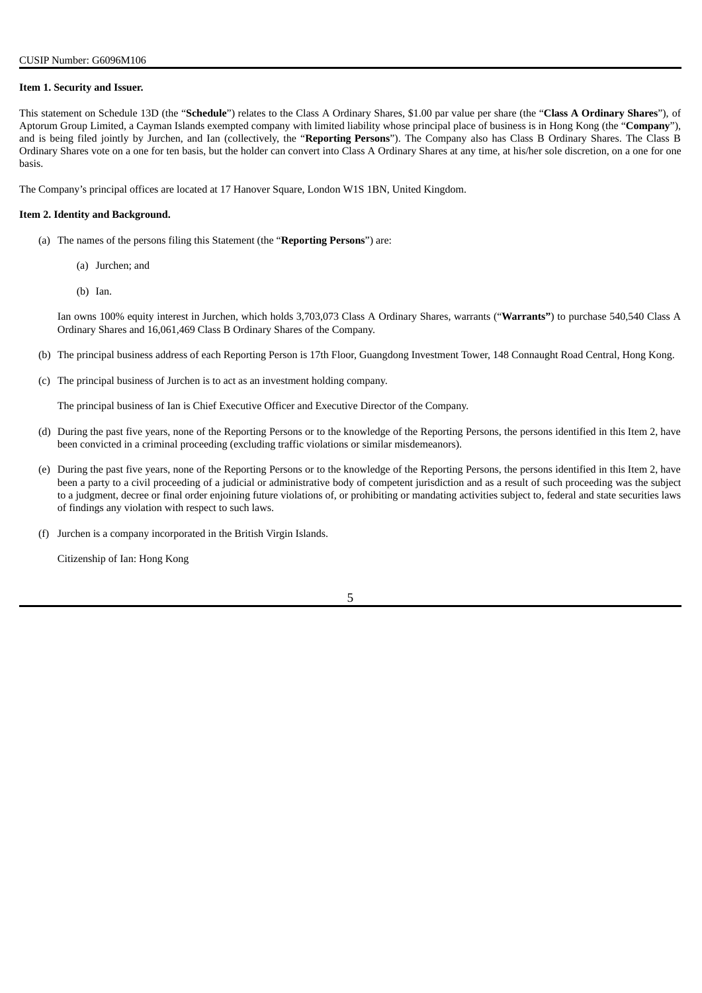#### **Item 1. Security and Issuer.**

This statement on Schedule 13D (the "**Schedule**") relates to the Class A Ordinary Shares, \$1.00 par value per share (the "**Class A Ordinary Shares**"), of Aptorum Group Limited, a Cayman Islands exempted company with limited liability whose principal place of business is in Hong Kong (the "**Company**"), and is being filed jointly by Jurchen, and Ian (collectively, the "**Reporting Persons**"). The Company also has Class B Ordinary Shares. The Class B Ordinary Shares vote on a one for ten basis, but the holder can convert into Class A Ordinary Shares at any time, at his/her sole discretion, on a one for one basis.

The Company's principal offices are located at 17 Hanover Square, London W1S 1BN, United Kingdom.

#### **Item 2. Identity and Background.**

- (a) The names of the persons filing this Statement (the "**Reporting Persons**") are:
	- (a) Jurchen; and
	- (b) Ian.

Ian owns 100% equity interest in Jurchen, which holds 3,703,073 Class A Ordinary Shares, warrants ("**Warrants"**) to purchase 540,540 Class A Ordinary Shares and 16,061,469 Class B Ordinary Shares of the Company.

- (b) The principal business address of each Reporting Person is 17th Floor, Guangdong Investment Tower, 148 Connaught Road Central, Hong Kong.
- (c) The principal business of Jurchen is to act as an investment holding company.

The principal business of Ian is Chief Executive Officer and Executive Director of the Company.

- (d) During the past five years, none of the Reporting Persons or to the knowledge of the Reporting Persons, the persons identified in this Item 2, have been convicted in a criminal proceeding (excluding traffic violations or similar misdemeanors).
- (e) During the past five years, none of the Reporting Persons or to the knowledge of the Reporting Persons, the persons identified in this Item 2, have been a party to a civil proceeding of a judicial or administrative body of competent jurisdiction and as a result of such proceeding was the subject to a judgment, decree or final order enjoining future violations of, or prohibiting or mandating activities subject to, federal and state securities laws of findings any violation with respect to such laws.
- (f) Jurchen is a company incorporated in the British Virgin Islands.

Citizenship of Ian: Hong Kong

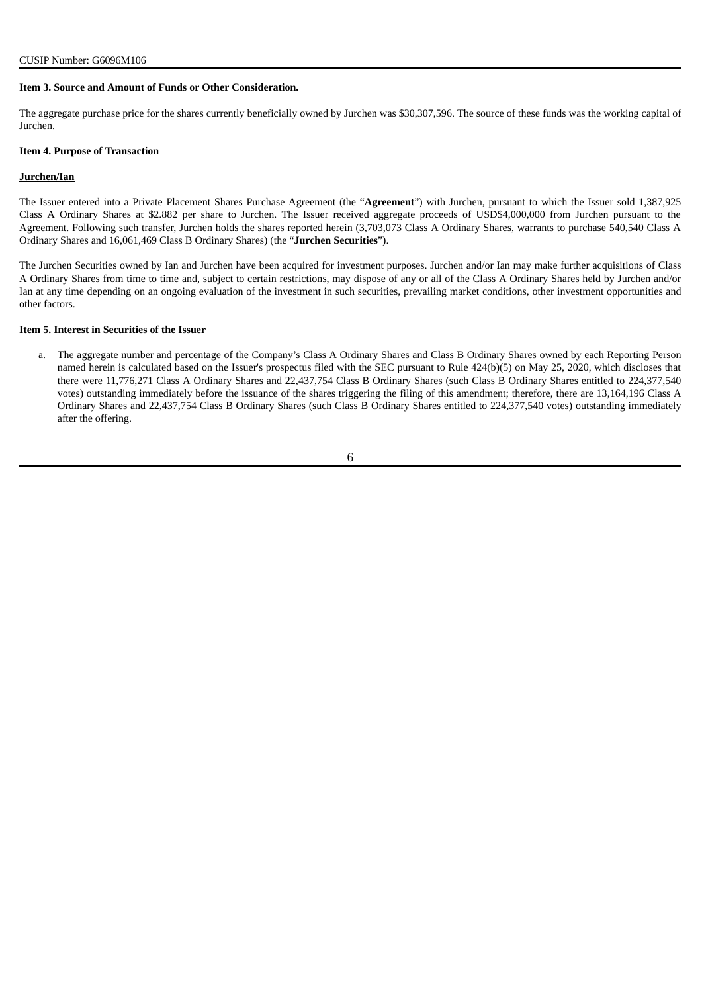#### **Item 3. Source and Amount of Funds or Other Consideration.**

The aggregate purchase price for the shares currently beneficially owned by Jurchen was \$30,307,596. The source of these funds was the working capital of Jurchen.

#### **Item 4. Purpose of Transaction**

#### **Jurchen/Ian**

The Issuer entered into a Private Placement Shares Purchase Agreement (the "**Agreement**") with Jurchen, pursuant to which the Issuer sold 1,387,925 Class A Ordinary Shares at \$2.882 per share to Jurchen. The Issuer received aggregate proceeds of USD\$4,000,000 from Jurchen pursuant to the Agreement. Following such transfer, Jurchen holds the shares reported herein (3,703,073 Class A Ordinary Shares, warrants to purchase 540,540 Class A Ordinary Shares and 16,061,469 Class B Ordinary Shares) (the "**Jurchen Securities**").

The Jurchen Securities owned by Ian and Jurchen have been acquired for investment purposes. Jurchen and/or Ian may make further acquisitions of Class A Ordinary Shares from time to time and, subject to certain restrictions, may dispose of any or all of the Class A Ordinary Shares held by Jurchen and/or Ian at any time depending on an ongoing evaluation of the investment in such securities, prevailing market conditions, other investment opportunities and other factors.

#### **Item 5. Interest in Securities of the Issuer**

a. The aggregate number and percentage of the Company's Class A Ordinary Shares and Class B Ordinary Shares owned by each Reporting Person named herein is calculated based on the Issuer's prospectus filed with the SEC pursuant to Rule 424(b)(5) on May 25, 2020, which discloses that there were 11,776,271 Class A Ordinary Shares and 22,437,754 Class B Ordinary Shares (such Class B Ordinary Shares entitled to 224,377,540 votes) outstanding immediately before the issuance of the shares triggering the filing of this amendment; therefore, there are 13,164,196 Class A Ordinary Shares and 22,437,754 Class B Ordinary Shares (such Class B Ordinary Shares entitled to 224,377,540 votes) outstanding immediately after the offering.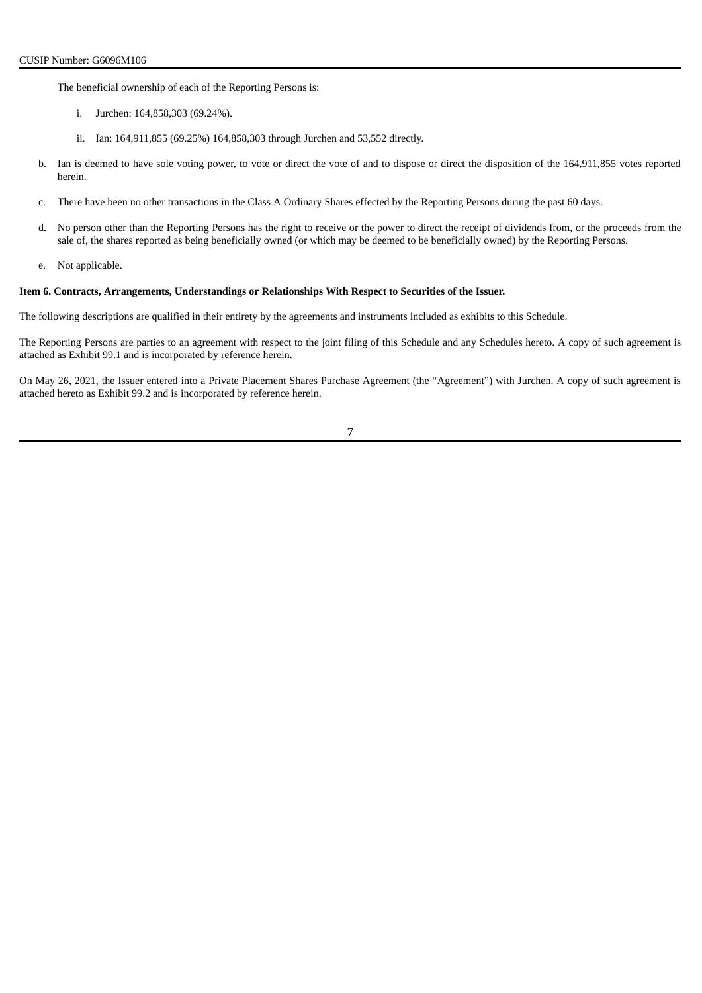The beneficial ownership of each of the Reporting Persons is:

- i. Jurchen: 164,858,303 (69.24%).
- ii. Ian: 164,911,855 (69.25%) 164,858,303 through Jurchen and 53,552 directly.
- b. Ian is deemed to have sole voting power, to vote or direct the vote of and to dispose or direct the disposition of the 164,911,855 votes reported herein.
- c. There have been no other transactions in the Class A Ordinary Shares effected by the Reporting Persons during the past 60 days.
- d. No person other than the Reporting Persons has the right to receive or the power to direct the receipt of dividends from, or the proceeds from the sale of, the shares reported as being beneficially owned (or which may be deemed to be beneficially owned) by the Reporting Persons.
- e. Not applicable.

### **Item 6. Contracts, Arrangements, Understandings or Relationships With Respect to Securities of the Issuer.**

The following descriptions are qualified in their entirety by the agreements and instruments included as exhibits to this Schedule.

The Reporting Persons are parties to an agreement with respect to the joint filing of this Schedule and any Schedules hereto. A copy of such agreement is attached as Exhibit 99.1 and is incorporated by reference herein.

On May 26, 2021, the Issuer entered into a Private Placement Shares Purchase Agreement (the "Agreement") with Jurchen. A copy of such agreement is attached hereto as Exhibit 99.2 and is incorporated by reference herein.

7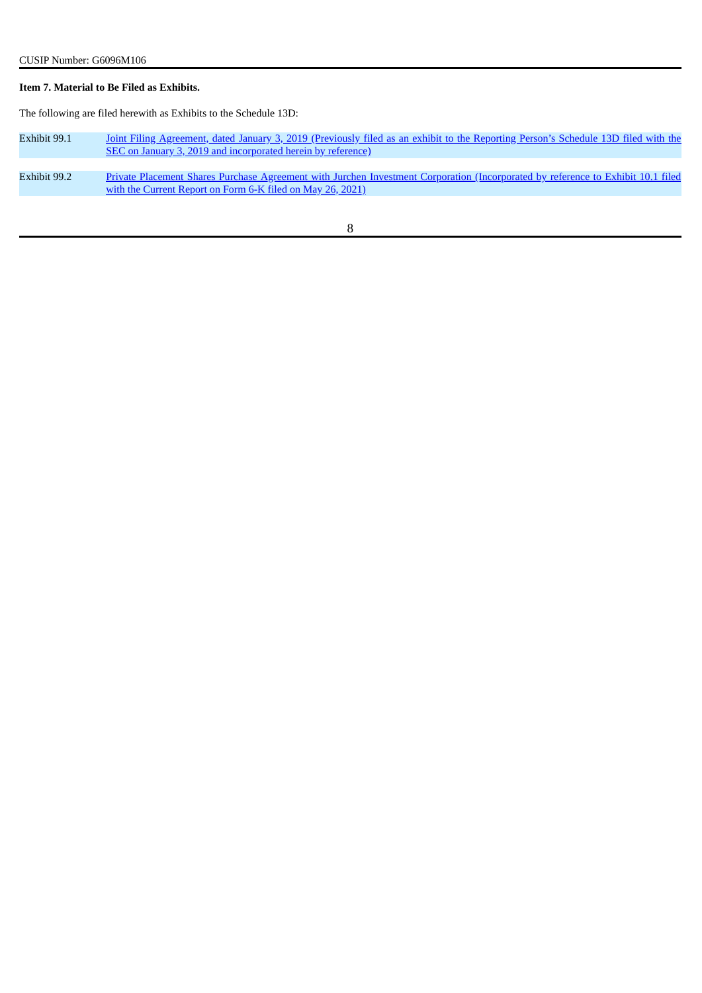# **Item 7. Material to Be Filed as Exhibits.**

The following are filed herewith as Exhibits to the Schedule 13D:

| Exhibit 99.1 | Joint Filing Agreement, dated January 3, 2019 (Previously filed as an exhibit to the Reporting Person's Schedule 13D filed with the<br>SEC on January 3, 2019 and incorporated herein by reference) |
|--------------|-----------------------------------------------------------------------------------------------------------------------------------------------------------------------------------------------------|
| Exhibit 99.2 | Private Placement Shares Purchase Agreement with Jurchen Investment Corporation (Incorporated by reference to Exhibit 10.1 filed<br>with the Current Report on Form 6-K filed on May 26, 2021)      |
|              |                                                                                                                                                                                                     |